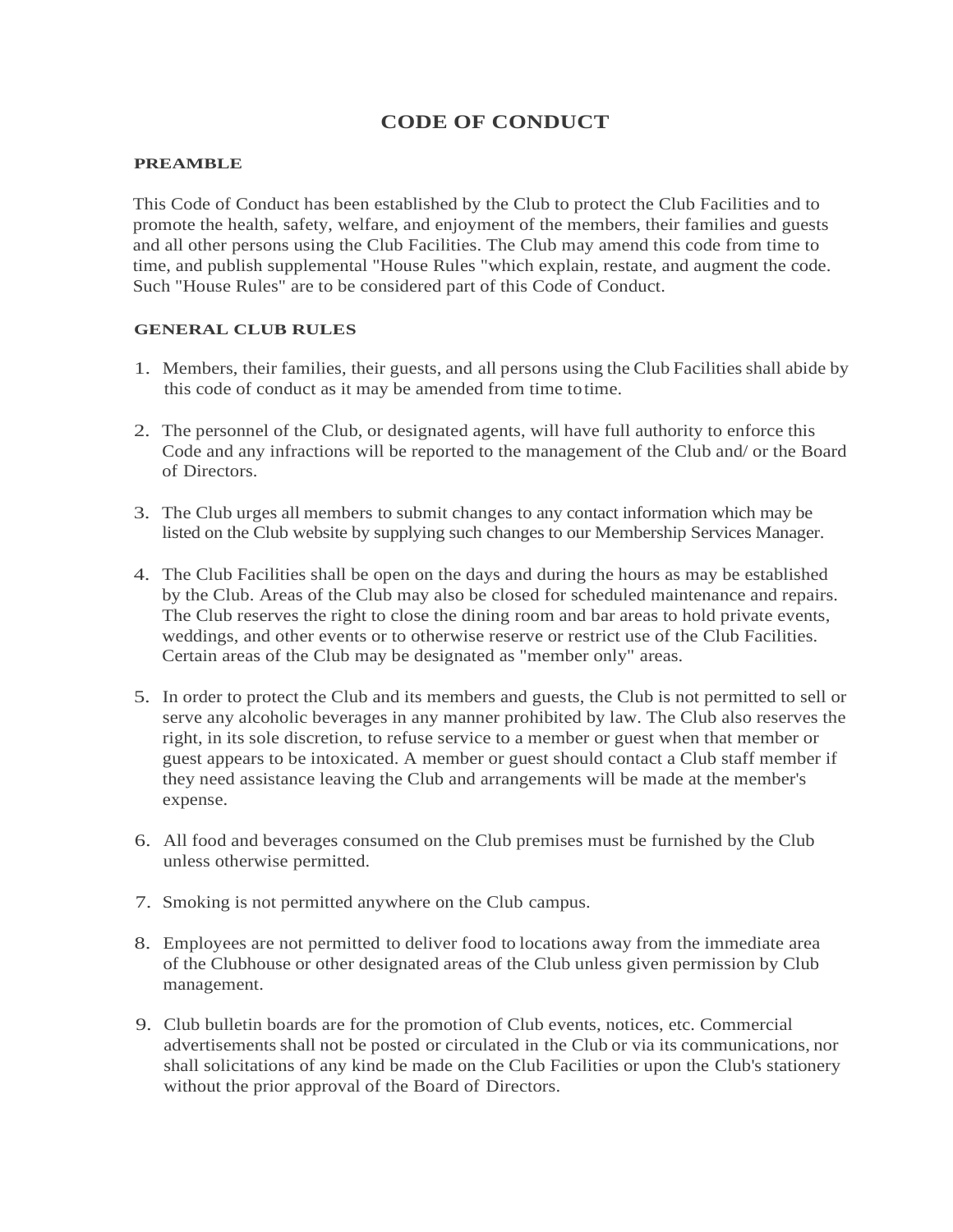# **CODE OF CONDUCT**

#### **PREAMBLE**

This Code of Conduct has been established by the Club to protect the Club Facilities and to promote the health, safety, welfare, and enjoyment of the members, their families and guests and all other persons using the Club Facilities. The Club may amend this code from time to time, and publish supplemental "House Rules "which explain, restate, and augment the code. Such "House Rules" are to be considered part of this Code of Conduct.

## **GENERAL CLUB RULES**

- 1. Members, their families, their guests, and all persons using the Club Facilities shall abide by this code of conduct as it may be amended from time totime.
- 2. The personnel of the Club, or designated agents, will have full authority to enforce this Code and any infractions will be reported to the management of the Club and/ or the Board of Directors.
- 3. The Club urges all members to submit changes to any contact information which may be listed on the Club website by supplying such changes to our Membership Services Manager.
- 4. The Club Facilities shall be open on the days and during the hours as may be established by the Club. Areas of the Club may also be closed for scheduled maintenance and repairs. The Club reserves the right to close the dining room and bar areas to hold private events, weddings, and other events or to otherwise reserve or restrict use of the Club Facilities. Certain areas of the Club may be designated as "member only" areas.
- 5. In order to protect the Club and its members and guests, the Club is not permitted to sell or serve any alcoholic beverages in any manner prohibited by law. The Club also reserves the right, in its sole discretion, to refuse service to a member or guest when that member or guest appears to be intoxicated. A member or guest should contact a Club staff member if they need assistance leaving the Club and arrangements will be made at the member's expense.
- 6. All food and beverages consumed on the Club premises must be furnished by the Club unless otherwise permitted.
- 7. Smoking is not permitted anywhere on the Club campus.
- 8. Employees are not permitted to deliver food to locations away from the immediate area of the Clubhouse or other designated areas of the Club unless given permission by Club management.
- 9. Club bulletin boards are for the promotion of Club events, notices, etc. Commercial advertisements shall not be posted or circulated in the Club or via its communications, nor shall solicitations of any kind be made on the Club Facilities or upon the Club's stationery without the prior approval of the Board of Directors.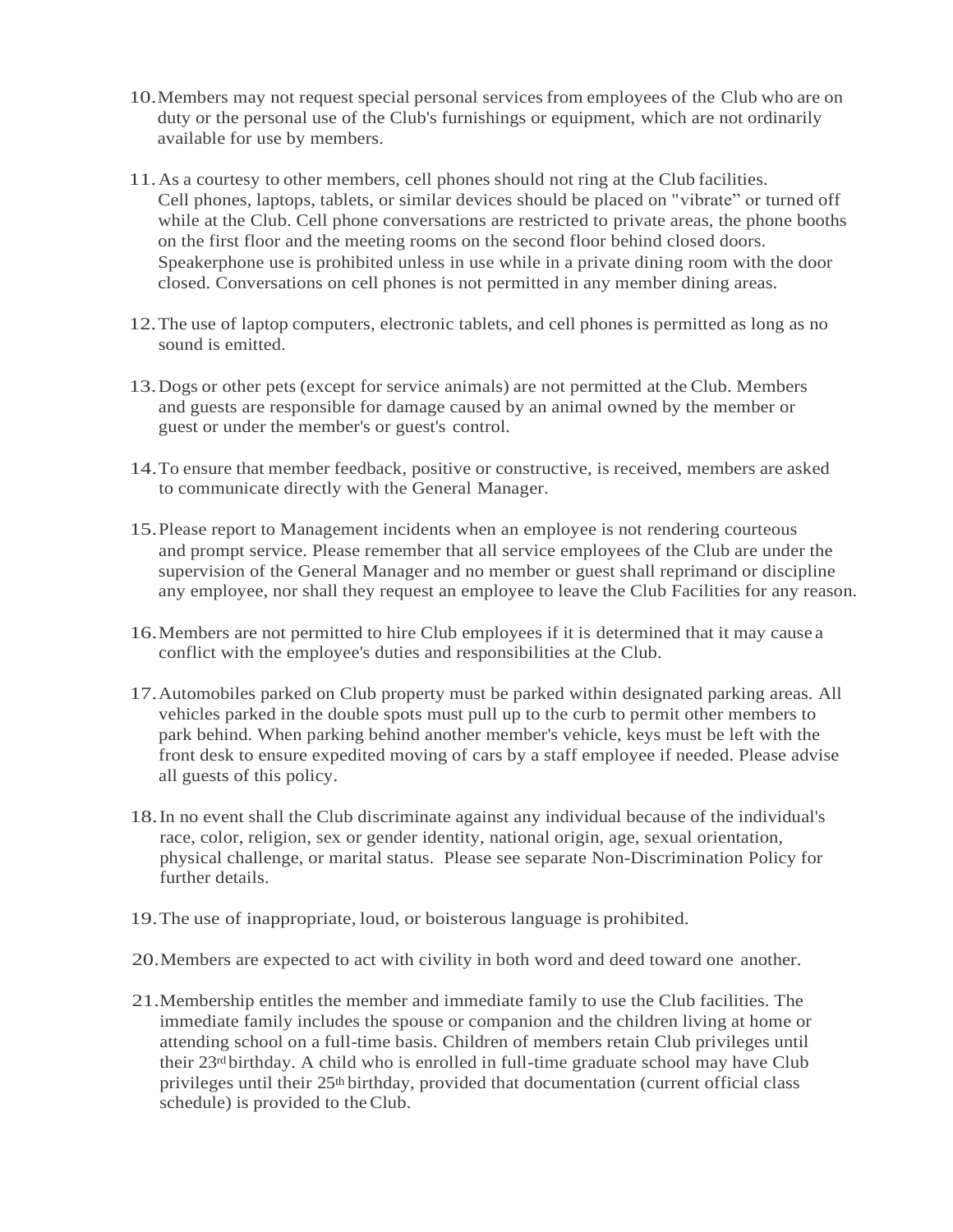- 10.Members may not request special personal servicesfrom employees of the Club who are on duty or the personal use of the Club's furnishings or equipment, which are not ordinarily available for use by members.
- 11.As a courtesy to other members, cell phones should not ring at the Club facilities. Cell phones, laptops, tablets, or similar devices should be placed on "vibrate" or turned off while at the Club. Cell phone conversations are restricted to private areas, the phone booths on the first floor and the meeting rooms on the second floor behind closed doors. Speakerphone use is prohibited unless in use while in a private dining room with the door closed. Conversations on cell phones is not permitted in any member dining areas.
- 12.The use of laptop computers, electronic tablets, and cell phones is permitted as long as no sound is emitted.
- 13.Dogs or other pets (except for service animals) are not permitted at the Club. Members and guests are responsible for damage caused by an animal owned by the member or guest or under the member's or guest's control.
- 14.To ensure that member feedback, positive or constructive, is received, members are asked to communicate directly with the General Manager.
- 15.Please report to Management incidents when an employee is not rendering courteous and prompt service. Please remember that all service employees of the Club are under the supervision of the General Manager and no member or guest shall reprimand or discipline any employee, nor shall they request an employee to leave the Club Facilities for any reason.
- 16.Members are not permitted to hire Club employees if it is determined that it may cause a conflict with the employee's duties and responsibilities at the Club.
- 17.Automobiles parked on Club property must be parked within designated parking areas. All vehicles parked in the double spots must pull up to the curb to permit other members to park behind. When parking behind another member's vehicle, keys must be left with the front desk to ensure expedited moving of cars by a staff employee if needed. Please advise all guests of this policy.
- 18.In no event shall the Club discriminate against any individual because of the individual's race, color, religion, sex or gender identity, national origin, age, sexual orientation, physical challenge, or marital status. Please see separate Non-Discrimination Policy for further details.
- 19.The use of inappropriate, loud, or boisterous language is prohibited.
- 20.Members are expected to act with civility in both word and deed toward one another.
- 21.Membership entitles the member and immediate family to use the Club facilities. The immediate family includes the spouse or companion and the children living at home or attending school on a full-time basis. Children of members retain Club privileges until their  $23<sup>rd</sup>$  birthday. A child who is enrolled in full-time graduate school may have Club privileges until their 25th birthday, provided that documentation (current official class schedule) is provided to theClub.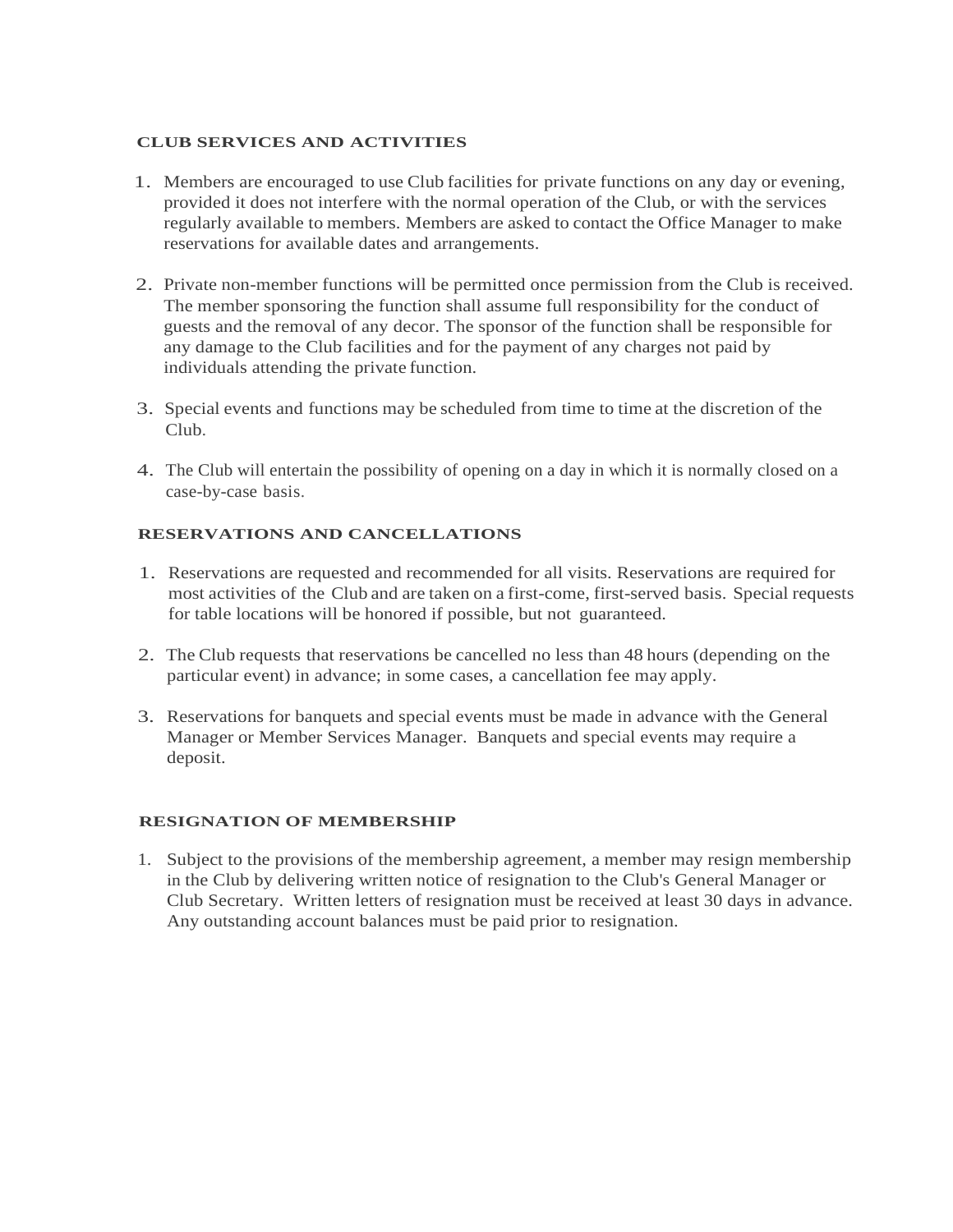## **CLUB SERVICES AND ACTIVITIES**

- 1. Members are encouraged to use Club facilities for private functions on any day or evening, provided it does not interfere with the normal operation of the Club, or with the services regularly available to members. Members are asked to contact the Office Manager to make reservations for available dates and arrangements.
- 2. Private non-member functions will be permitted once permission from the Club is received. The member sponsoring the function shall assume full responsibility for the conduct of guests and the removal of any decor. The sponsor of the function shall be responsible for any damage to the Club facilities and for the payment of any charges not paid by individuals attending the private function.
- 3. Special events and functions may be scheduled from time to time at the discretion of the Club.
- 4. The Club will entertain the possibility of opening on a day in which it is normally closed on a case-by-case basis.

# **RESERVATIONS AND CANCELLATIONS**

- 1. Reservations are requested and recommended for all visits. Reservations are required for most activities of the Club and are taken on a first-come, first-served basis. Special requests for table locations will be honored if possible, but not guaranteed.
- 2. The Club requests that reservations be cancelled no less than 48 hours (depending on the particular event) in advance; in some cases, a cancellation fee may apply.
- 3. Reservations for banquets and special events must be made in advance with the General Manager or Member Services Manager. Banquets and special events may require a deposit.

# **RESIGNATION OF MEMBERSHIP**

1. Subject to the provisions of the membership agreement, a member may resign membership in the Club by delivering written notice of resignation to the Club's General Manager or Club Secretary. Written letters of resignation must be received at least 30 days in advance. Any outstanding account balances must be paid prior to resignation.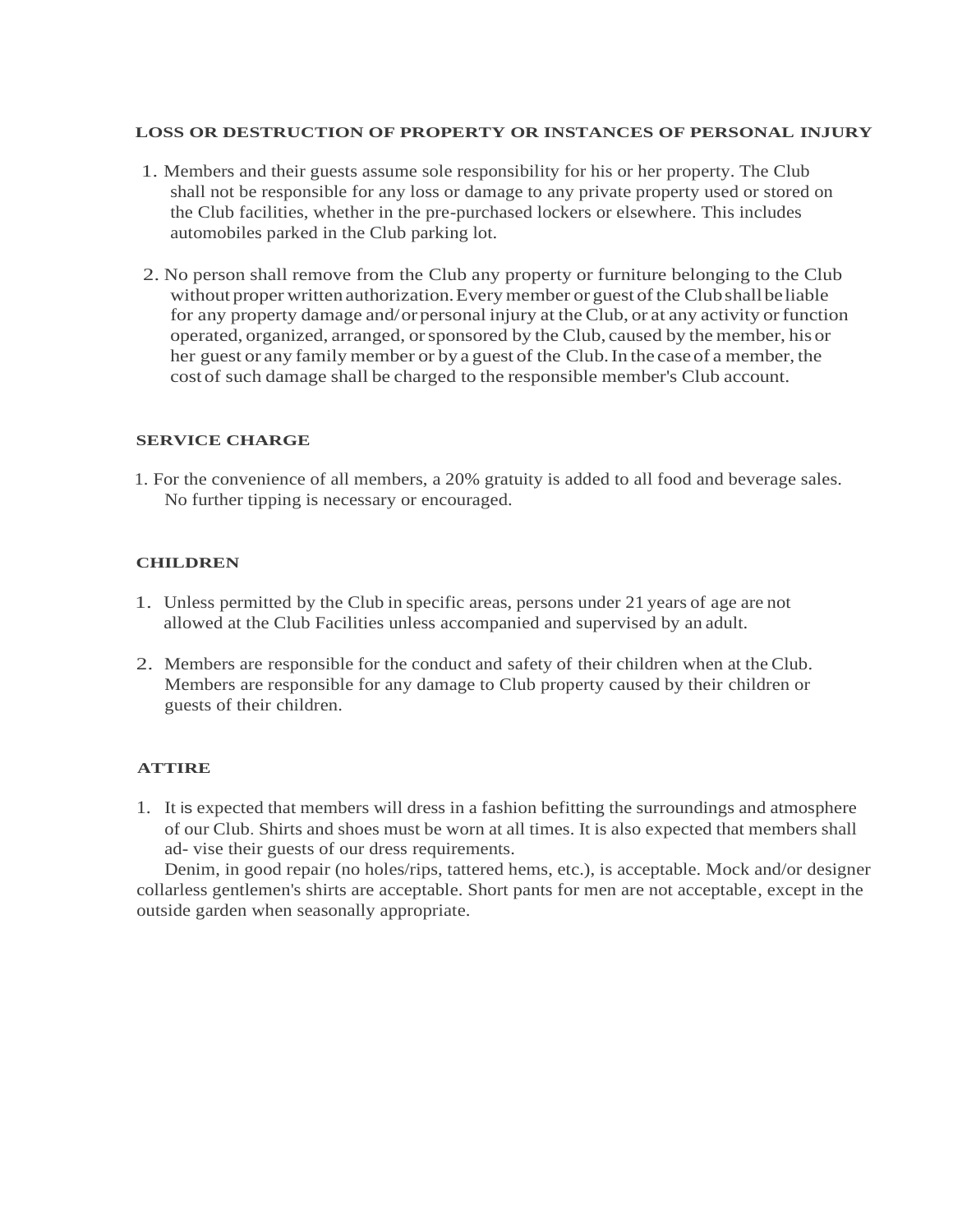#### **LOSS OR DESTRUCTION OF PROPERTY OR INSTANCES OF PERSONAL INJURY**

- 1. Members and their guests assume sole responsibility for his or her property. The Club shall not be responsible for any loss or damage to any private property used or stored on the Club facilities, whether in the pre-purchased lockers or elsewhere. This includes automobiles parked in the Club parking lot.
- 2. No person shall remove from the Club any property or furniture belonging to the Club without proper written authorization. Every member or guest of the Club shall be liable for any property damage and/orpersonal injury at the Club, or at any activity or function operated, organized, arranged, orsponsored by the Club, caused by the member, his or her guest or any family member or by a guest of the Club.In the caseof a member, the cost of such damage shall be charged to the responsible member's Club account.

## **SERVICE CHARGE**

1. For the convenience of all members, a 20% gratuity is added to all food and beverage sales. No further tipping is necessary or encouraged.

## **CHILDREN**

- 1. Unless permitted by the Club in specific areas, persons under 21 years of age are not allowed at the Club Facilities unless accompanied and supervised by an adult.
- 2. Members are responsible for the conduct and safety of their children when at the Club. Members are responsible for any damage to Club property caused by their children or guests of their children.

## **ATTIRE**

1. It is expected that members will dress in a fashion befitting the surroundings and atmosphere of our Club. Shirts and shoes must be worn at all times. It is also expected that members shall ad- vise their guests of our dress requirements.

Denim, in good repair (no holes/rips, tattered hems, etc.), is acceptable. Mock and/or designer collarless gentlemen's shirts are acceptable. Short pants for men are not acceptable, except in the outside garden when seasonally appropriate.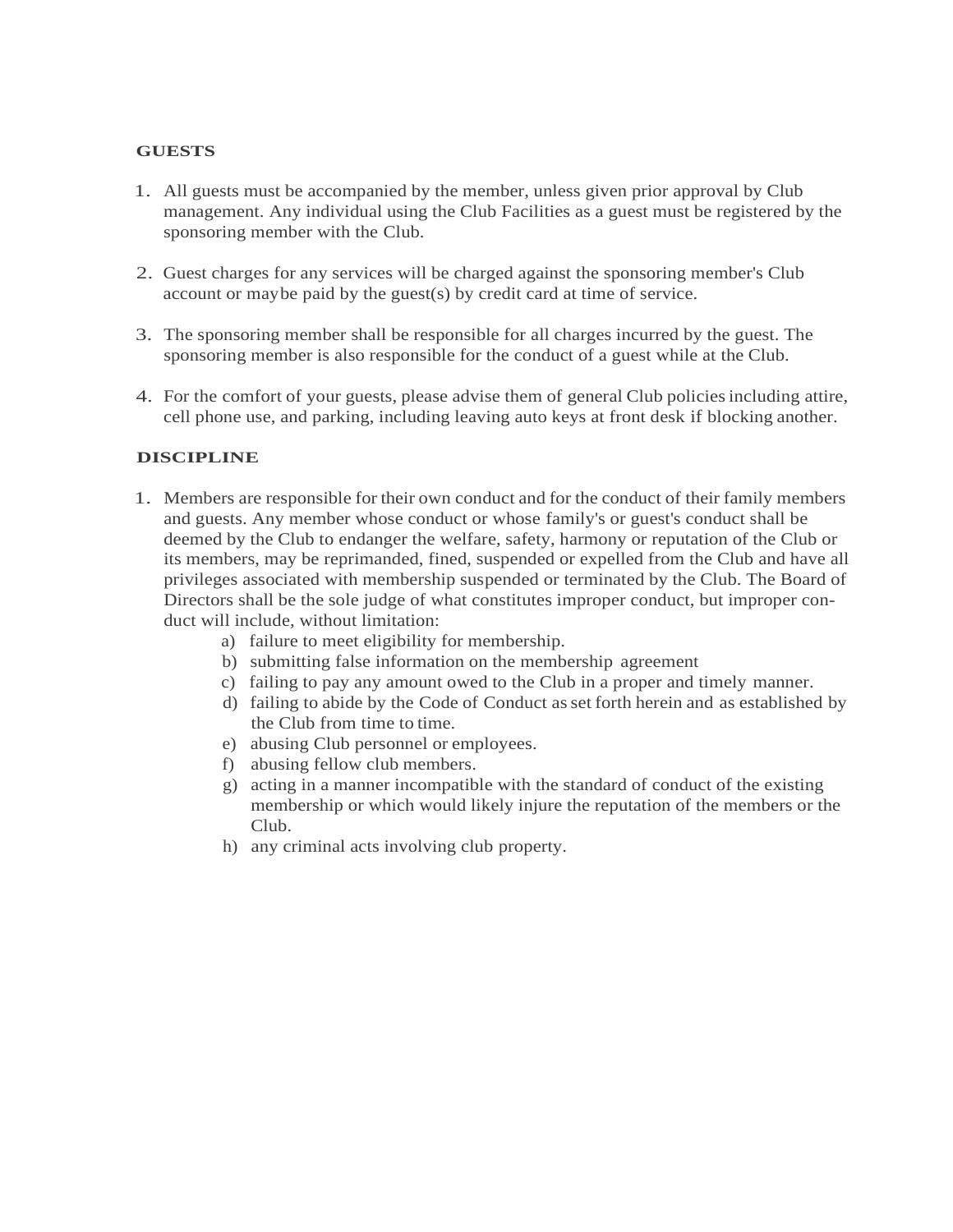### **GUESTS**

- 1. All guests must be accompanied by the member, unless given prior approval by Club management. Any individual using the Club Facilities as a guest must be registered by the sponsoring member with the Club.
- 2. Guest charges for any services will be charged against the sponsoring member's Club account or maybe paid by the guest(s) by credit card at time of service.
- 3. The sponsoring member shall be responsible for all charges incurred by the guest. The sponsoring member is also responsible for the conduct of a guest while at the Club.
- 4. For the comfort of your guests, please advise them of general Club policiesincluding attire, cell phone use, and parking, including leaving auto keys at front desk if blocking another.

## **DISCIPLINE**

- 1. Members are responsible for their own conduct and for the conduct of their family members and guests. Any member whose conduct or whose family's or guest's conduct shall be deemed by the Club to endanger the welfare, safety, harmony or reputation of the Club or its members, may be reprimanded, fined, suspended or expelled from the Club and have all privileges associated with membership suspended or terminated by the Club. The Board of Directors shall be the sole judge of what constitutes improper conduct, but improper conduct will include, without limitation:
	- a) failure to meet eligibility for membership.
	- b) submitting false information on the membership agreement
	- c) failing to pay any amount owed to the Club in a proper and timely manner.
	- d) failing to abide by the Code of Conduct asset forth herein and as established by the Club from time to time.
	- e) abusing Club personnel or employees.
	- f) abusing fellow club members.
	- g) acting in a manner incompatible with the standard of conduct of the existing membership or which would likely injure the reputation of the members or the Club.
	- h) any criminal acts involving club property.